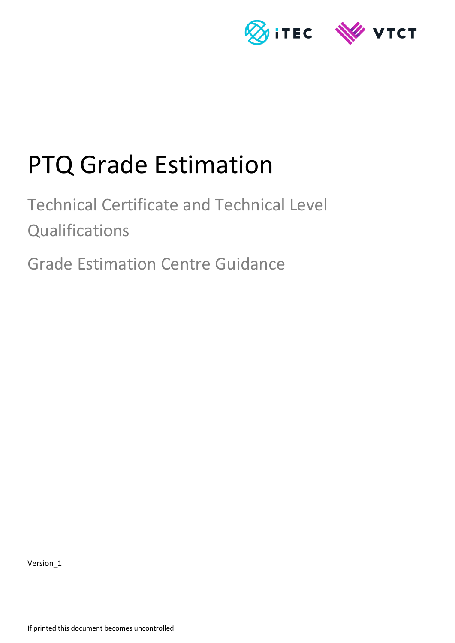

# PTQ Grade Estimation

Technical Certificate and Technical Level **Qualifications** 

Grade Estimation Centre Guidance

Version\_1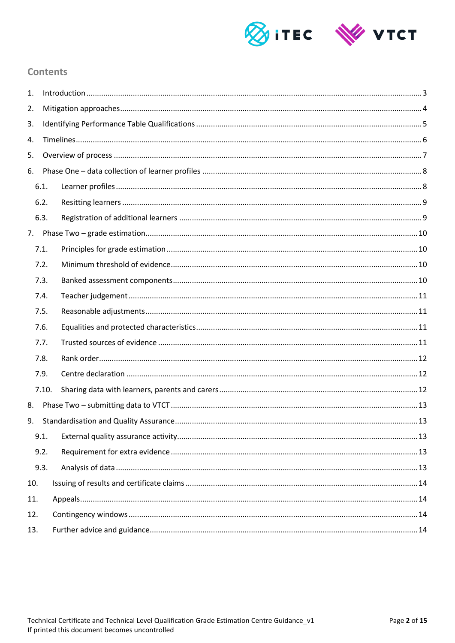

## **Contents**

| 1.  |       |  |  |  |  |
|-----|-------|--|--|--|--|
| 2.  |       |  |  |  |  |
| 3.  |       |  |  |  |  |
| 4.  |       |  |  |  |  |
| 5.  |       |  |  |  |  |
| 6.  |       |  |  |  |  |
|     | 6.1.  |  |  |  |  |
|     | 6.2.  |  |  |  |  |
|     | 6.3.  |  |  |  |  |
|     |       |  |  |  |  |
|     | 7.1.  |  |  |  |  |
|     | 7.2.  |  |  |  |  |
|     | 7.3.  |  |  |  |  |
|     | 7.4.  |  |  |  |  |
|     | 7.5.  |  |  |  |  |
|     | 7.6.  |  |  |  |  |
|     | 7.7.  |  |  |  |  |
|     | 7.8.  |  |  |  |  |
|     | 7.9.  |  |  |  |  |
|     | 7.10. |  |  |  |  |
| 8.  |       |  |  |  |  |
| 9.  |       |  |  |  |  |
|     | 9.1.  |  |  |  |  |
|     | 9.2.  |  |  |  |  |
|     | 9.3.  |  |  |  |  |
| 10. |       |  |  |  |  |
| 11. |       |  |  |  |  |
| 12. |       |  |  |  |  |
| 13. |       |  |  |  |  |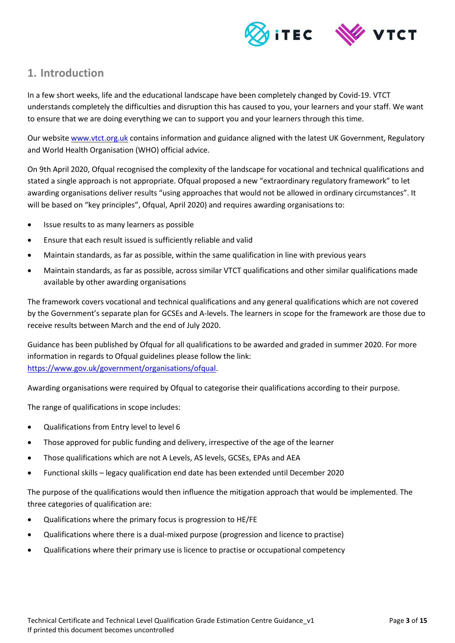

# <span id="page-2-0"></span>**1. Introduction**

In a few short weeks, life and the educational landscape have been completely changed by Covid-19. VTCT understands completely the difficulties and disruption this has caused to you, your learners and your staff. We want to ensure that we are doing everything we can to support you and your learners through this time.

Our website [www.vtct.org.uk](http://www.vtct.org.uk/) contains information and guidance aligned with the latest UK Government, Regulatory and World Health Organisation (WHO) official advice.

On 9th April 2020, Ofqual recognised the complexity of the landscape for vocational and technical qualifications and stated a single approach is not appropriate. Ofqual proposed a new "extraordinary regulatory framework" to let awarding organisations deliver results "using approaches that would not be allowed in ordinary circumstances". It will be based on "key principles", Ofqual, April 2020) and requires awarding organisations to:

- Issue results to as many learners as possible
- Ensure that each result issued is sufficiently reliable and valid
- Maintain standards, as far as possible, within the same qualification in line with previous years
- Maintain standards, as far as possible, across similar VTCT qualifications and other similar qualifications made available by other awarding organisations

The framework covers vocational and technical qualifications and any general qualifications which are not covered by the Government's separate plan for GCSEs and A-levels. The learners in scope for the framework are those due to receive results between March and the end of July 2020.

Guidance has been published by Ofqual for all qualifications to be awarded and graded in summer 2020. For more information in regards to Ofqual guidelines please follow the link: [https://www.gov.uk/government/organisations/ofqual.](https://www.gov.uk/government/organisations/ofqual)

Awarding organisations were required by Ofqual to categorise their qualifications according to their purpose.

The range of qualifications in scope includes:

- Qualifications from Entry level to level 6
- Those approved for public funding and delivery, irrespective of the age of the learner
- Those qualifications which are not A Levels, AS levels, GCSEs, EPAs and AEA
- Functional skills legacy qualification end date has been extended until December 2020

The purpose of the qualifications would then influence the mitigation approach that would be implemented. The three categories of qualification are:

- Qualifications where the primary focus is progression to HE/FE
- Qualifications where there is a dual-mixed purpose (progression and licence to practise)
- Qualifications where their primary use is licence to practise or occupational competency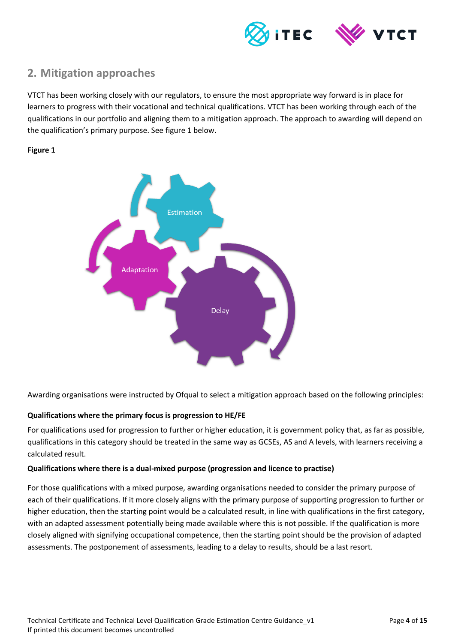

# <span id="page-3-0"></span>**2. Mitigation approaches**

VTCT has been working closely with our regulators, to ensure the most appropriate way forward is in place for learners to progress with their vocational and technical qualifications. VTCT has been working through each of the qualifications in our portfolio and aligning them to a mitigation approach. The approach to awarding will depend on the qualification's primary purpose. See figure 1 below.

#### **Figure 1**



Awarding organisations were instructed by Ofqual to select a mitigation approach based on the following principles:

#### **Qualifications where the primary focus is progression to HE/FE**

For qualifications used for progression to further or higher education, it is government policy that, as far as possible, qualifications in this category should be treated in the same way as GCSEs, AS and A levels, with learners receiving a calculated result.

#### **Qualifications where there is a dual-mixed purpose (progression and licence to practise)**

For those qualifications with a mixed purpose, awarding organisations needed to consider the primary purpose of each of their qualifications. If it more closely aligns with the primary purpose of supporting progression to further or higher education, then the starting point would be a calculated result, in line with qualifications in the first category, with an adapted assessment potentially being made available where this is not possible. If the qualification is more closely aligned with signifying occupational competence, then the starting point should be the provision of adapted assessments. The postponement of assessments, leading to a delay to results, should be a last resort.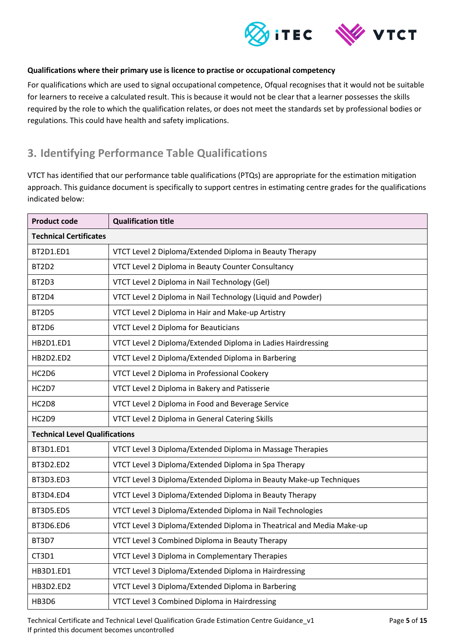

#### **Qualifications where their primary use is licence to practise or occupational competency**

For qualifications which are used to signal occupational competence, Ofqual recognises that it would not be suitable for learners to receive a calculated result. This is because it would not be clear that a learner possesses the skills required by the role to which the qualification relates, or does not meet the standards set by professional bodies or regulations. This could have health and safety implications.

# <span id="page-4-0"></span>**3. Identifying Performance Table Qualifications**

VTCT has identified that our performance table qualifications (PTQs) are appropriate for the estimation mitigation approach. This guidance document is specifically to support centres in estimating centre grades for the qualifications indicated below:

| <b>Product code</b>                   | <b>Qualification title</b>                                            |  |
|---------------------------------------|-----------------------------------------------------------------------|--|
| <b>Technical Certificates</b>         |                                                                       |  |
| BT2D1.ED1                             | VTCT Level 2 Diploma/Extended Diploma in Beauty Therapy               |  |
| BT2D2                                 | VTCT Level 2 Diploma in Beauty Counter Consultancy                    |  |
| BT2D3                                 | VTCT Level 2 Diploma in Nail Technology (Gel)                         |  |
| BT2D4                                 | VTCT Level 2 Diploma in Nail Technology (Liquid and Powder)           |  |
| BT2D5                                 | VTCT Level 2 Diploma in Hair and Make-up Artistry                     |  |
| BT2D6                                 | <b>VTCT Level 2 Diploma for Beauticians</b>                           |  |
| HB2D1.ED1                             | VTCT Level 2 Diploma/Extended Diploma in Ladies Hairdressing          |  |
| HB2D2.ED2                             | VTCT Level 2 Diploma/Extended Diploma in Barbering                    |  |
| HC2D6                                 | VTCT Level 2 Diploma in Professional Cookery                          |  |
| HC2D7                                 | VTCT Level 2 Diploma in Bakery and Patisserie                         |  |
| HC2D8                                 | VTCT Level 2 Diploma in Food and Beverage Service                     |  |
| HC2D9                                 | VTCT Level 2 Diploma in General Catering Skills                       |  |
| <b>Technical Level Qualifications</b> |                                                                       |  |
| BT3D1.ED1                             | VTCT Level 3 Diploma/Extended Diploma in Massage Therapies            |  |
| BT3D2.ED2                             | VTCT Level 3 Diploma/Extended Diploma in Spa Therapy                  |  |
| BT3D3.ED3                             | VTCT Level 3 Diploma/Extended Diploma in Beauty Make-up Techniques    |  |
| BT3D4.ED4                             | VTCT Level 3 Diploma/Extended Diploma in Beauty Therapy               |  |
| BT3D5.ED5                             | VTCT Level 3 Diploma/Extended Diploma in Nail Technologies            |  |
| BT3D6.ED6                             | VTCT Level 3 Diploma/Extended Diploma in Theatrical and Media Make-up |  |
| BT3D7                                 | VTCT Level 3 Combined Diploma in Beauty Therapy                       |  |
| CT3D1                                 | VTCT Level 3 Diploma in Complementary Therapies                       |  |
| HB3D1.ED1                             | VTCT Level 3 Diploma/Extended Diploma in Hairdressing                 |  |
| HB3D2.ED2                             | VTCT Level 3 Diploma/Extended Diploma in Barbering                    |  |
| <b>HB3D6</b>                          | VTCT Level 3 Combined Diploma in Hairdressing                         |  |

Technical Certificate and Technical Level Qualification Grade Estimation Centre Guidance\_v1 Page **5** of **15** If printed this document becomes uncontrolled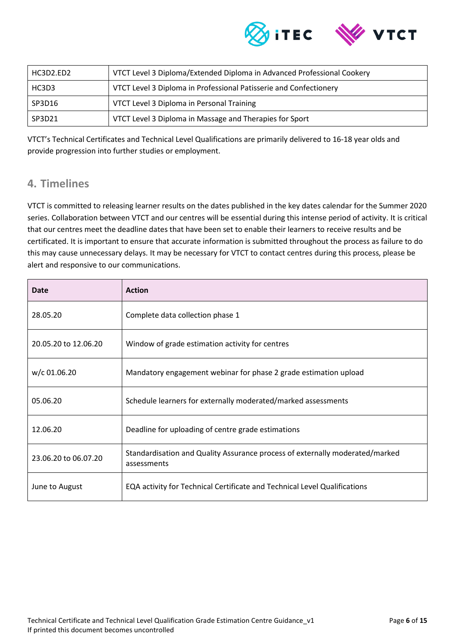

| HC3D2.ED2 | VTCT Level 3 Diploma/Extended Diploma in Advanced Professional Cookery |
|-----------|------------------------------------------------------------------------|
| HC3D3     | VTCT Level 3 Diploma in Professional Patisserie and Confectionery      |
| SP3D16    | VTCT Level 3 Diploma in Personal Training                              |
| SP3D21    | VTCT Level 3 Diploma in Massage and Therapies for Sport                |

VTCT's Technical Certificates and Technical Level Qualifications are primarily delivered to 16-18 year olds and provide progression into further studies or employment.

# <span id="page-5-0"></span>**4. Timelines**

VTCT is committed to releasing learner results on the dates published in the key dates calendar for the Summer 2020 series. Collaboration between VTCT and our centres will be essential during this intense period of activity. It is critical that our centres meet the deadline dates that have been set to enable their learners to receive results and be certificated. It is important to ensure that accurate information is submitted throughout the process as failure to do this may cause unnecessary delays. It may be necessary for VTCT to contact centres during this process, please be alert and responsive to our communications.

| Date                 | <b>Action</b>                                                                               |
|----------------------|---------------------------------------------------------------------------------------------|
| 28.05.20             | Complete data collection phase 1                                                            |
| 20.05.20 to 12.06.20 | Window of grade estimation activity for centres                                             |
| w/c 01.06.20         | Mandatory engagement webinar for phase 2 grade estimation upload                            |
| 05.06.20             | Schedule learners for externally moderated/marked assessments                               |
| 12.06.20             | Deadline for uploading of centre grade estimations                                          |
| 23.06.20 to 06.07.20 | Standardisation and Quality Assurance process of externally moderated/marked<br>assessments |
| June to August       | EQA activity for Technical Certificate and Technical Level Qualifications                   |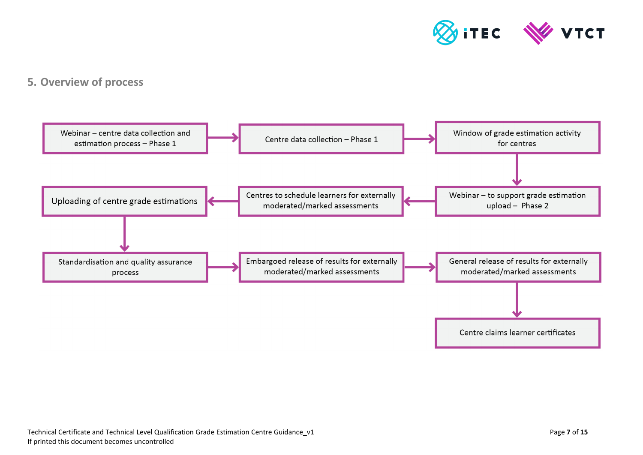

# **5. Overview of process**

<span id="page-6-0"></span>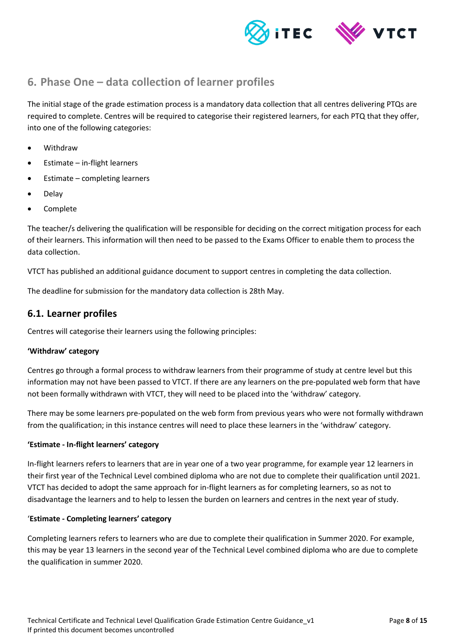



# <span id="page-7-0"></span>**6. Phase One – data collection of learner profiles**

The initial stage of the grade estimation process is a mandatory data collection that all centres delivering PTQs are required to complete. Centres will be required to categorise their registered learners, for each PTQ that they offer, into one of the following categories:

- Withdraw
- Estimate in-flight learners
- Estimate completing learners
- Delay
- Complete

The teacher/s delivering the qualification will be responsible for deciding on the correct mitigation process for each of their learners. This information will then need to be passed to the Exams Officer to enable them to process the data collection.

VTCT has published an additional guidance document to support centres in completing the data collection.

The deadline for submission for the mandatory data collection is 28th May.

#### <span id="page-7-1"></span>**6.1. Learner profiles**

Centres will categorise their learners using the following principles:

#### **'Withdraw' category**

Centres go through a formal process to withdraw learners from their programme of study at centre level but this information may not have been passed to VTCT. If there are any learners on the pre-populated web form that have not been formally withdrawn with VTCT, they will need to be placed into the 'withdraw' category.

There may be some learners pre-populated on the web form from previous years who were not formally withdrawn from the qualification; in this instance centres will need to place these learners in the 'withdraw' category.

#### **'Estimate - In-flight learners' category**

In-flight learners refers to learners that are in year one of a two year programme, for example year 12 learners in their first year of the Technical Level combined diploma who are not due to complete their qualification until 2021. VTCT has decided to adopt the same approach for in-flight learners as for completing learners, so as not to disadvantage the learners and to help to lessen the burden on learners and centres in the next year of study.

#### '**Estimate - Completing learners' category**

Completing learners refers to learners who are due to complete their qualification in Summer 2020. For example, this may be year 13 learners in the second year of the Technical Level combined diploma who are due to complete the qualification in summer 2020.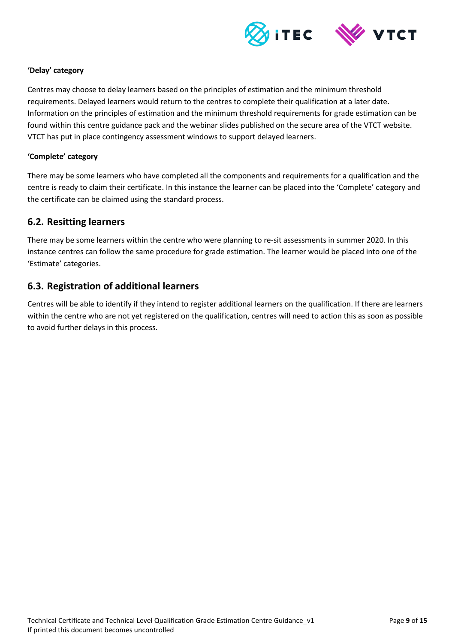

#### **'Delay' category**

Centres may choose to delay learners based on the principles of estimation and the minimum threshold requirements. Delayed learners would return to the centres to complete their qualification at a later date. Information on the principles of estimation and the minimum threshold requirements for grade estimation can be found within this centre guidance pack and the webinar slides published on the secure area of the VTCT website. VTCT has put in place contingency assessment windows to support delayed learners.

#### **'Complete' category**

There may be some learners who have completed all the components and requirements for a qualification and the centre is ready to claim their certificate. In this instance the learner can be placed into the 'Complete' category and the certificate can be claimed using the standard process.

#### <span id="page-8-0"></span>**6.2. Resitting learners**

There may be some learners within the centre who were planning to re-sit assessments in summer 2020. In this instance centres can follow the same procedure for grade estimation. The learner would be placed into one of the 'Estimate' categories.

## <span id="page-8-1"></span>**6.3. Registration of additional learners**

Centres will be able to identify if they intend to register additional learners on the qualification. If there are learners within the centre who are not yet registered on the qualification, centres will need to action this as soon as possible to avoid further delays in this process.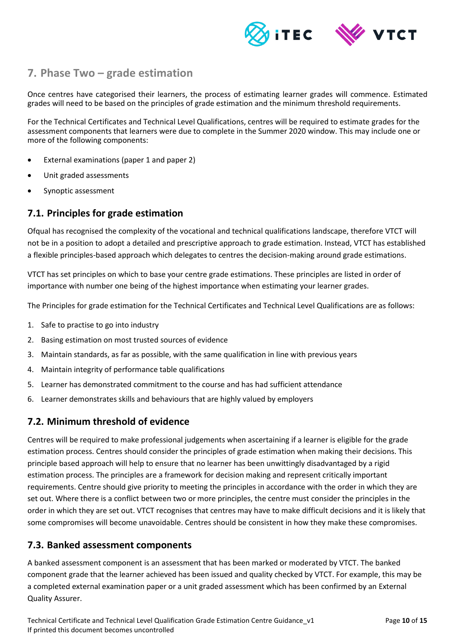

# <span id="page-9-0"></span>**7. Phase Two – grade estimation**

Once centres have categorised their learners, the process of estimating learner grades will commence. Estimated grades will need to be based on the principles of grade estimation and the minimum threshold requirements.

For the Technical Certificates and Technical Level Qualifications, centres will be required to estimate grades for the assessment components that learners were due to complete in the Summer 2020 window. This may include one or more of the following components:

- External examinations (paper 1 and paper 2)
- Unit graded assessments
- Synoptic assessment

## <span id="page-9-1"></span>**7.1. Principles for grade estimation**

Ofqual has recognised the complexity of the vocational and technical qualifications landscape, therefore VTCT will not be in a position to adopt a detailed and prescriptive approach to grade estimation. Instead, VTCT has established a flexible principles-based approach which delegates to centres the decision-making around grade estimations.

VTCT has set principles on which to base your centre grade estimations. These principles are listed in order of importance with number one being of the highest importance when estimating your learner grades.

The Principles for grade estimation for the Technical Certificates and Technical Level Qualifications are as follows:

- 1. Safe to practise to go into industry
- 2. Basing estimation on most trusted sources of evidence
- 3. Maintain standards, as far as possible, with the same qualification in line with previous years
- 4. Maintain integrity of performance table qualifications
- 5. Learner has demonstrated commitment to the course and has had sufficient attendance
- 6. Learner demonstrates skills and behaviours that are highly valued by employers

## <span id="page-9-2"></span>**7.2. Minimum threshold of evidence**

Centres will be required to make professional judgements when ascertaining if a learner is eligible for the grade estimation process. Centres should consider the principles of grade estimation when making their decisions. This principle based approach will help to ensure that no learner has been unwittingly disadvantaged by a rigid estimation process. The principles are a framework for decision making and represent critically important requirements. Centre should give priority to meeting the principles in accordance with the order in which they are set out. Where there is a conflict between two or more principles, the centre must consider the principles in the order in which they are set out. VTCT recognises that centres may have to make difficult decisions and it is likely that some compromises will become unavoidable. Centres should be consistent in how they make these compromises.

## <span id="page-9-3"></span>**7.3. Banked assessment components**

A banked assessment component is an assessment that has been marked or moderated by VTCT. The banked component grade that the learner achieved has been issued and quality checked by VTCT. For example, this may be a completed external examination paper or a unit graded assessment which has been confirmed by an External Quality Assurer.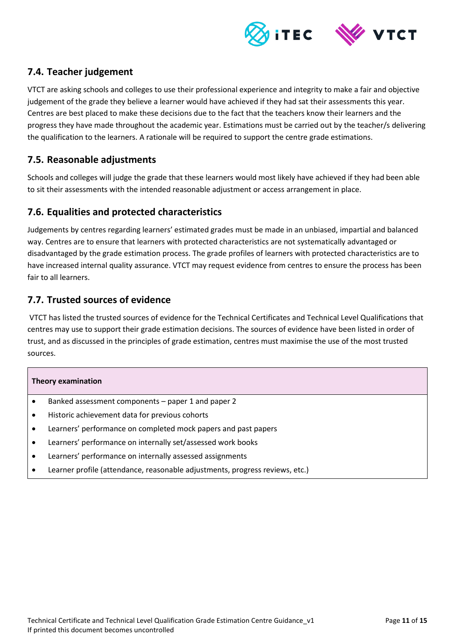

## <span id="page-10-0"></span>**7.4. Teacher judgement**

VTCT are asking schools and colleges to use their professional experience and integrity to make a fair and objective judgement of the grade they believe a learner would have achieved if they had sat their assessments this year. Centres are best placed to make these decisions due to the fact that the teachers know their learners and the progress they have made throughout the academic year. Estimations must be carried out by the teacher/s delivering the qualification to the learners. A rationale will be required to support the centre grade estimations.

## <span id="page-10-1"></span>**7.5. Reasonable adjustments**

Schools and colleges will judge the grade that these learners would most likely have achieved if they had been able to sit their assessments with the intended reasonable adjustment or access arrangement in place.

## <span id="page-10-2"></span>**7.6. Equalities and protected characteristics**

Judgements by centres regarding learners' estimated grades must be made in an unbiased, impartial and balanced way. Centres are to ensure that learners with protected characteristics are not systematically advantaged or disadvantaged by the grade estimation process. The grade profiles of learners with protected characteristics are to have increased internal quality assurance. VTCT may request evidence from centres to ensure the process has been fair to all learners.

## <span id="page-10-3"></span>**7.7. Trusted sources of evidence**

VTCT has listed the trusted sources of evidence for the Technical Certificates and Technical Level Qualifications that centres may use to support their grade estimation decisions. The sources of evidence have been listed in order of trust, and as discussed in the principles of grade estimation, centres must maximise the use of the most trusted sources.

#### **Theory examination**

- Banked assessment components paper 1 and paper 2
- Historic achievement data for previous cohorts
- Learners' performance on completed mock papers and past papers
- Learners' performance on internally set/assessed work books
- Learners' performance on internally assessed assignments
- Learner profile (attendance, reasonable adjustments, progress reviews, etc.)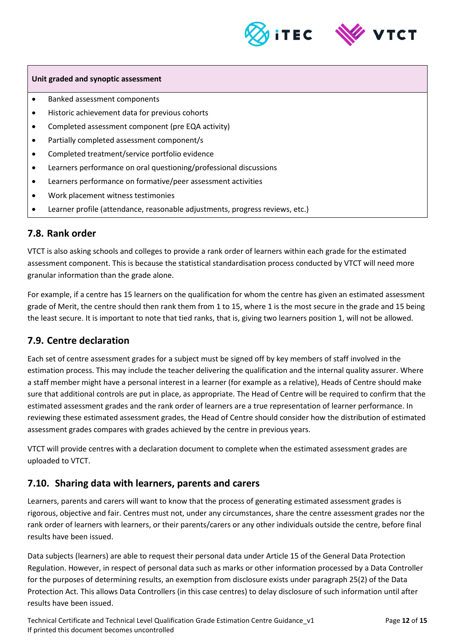



#### **Unit graded and synoptic assessment**

- Banked assessment components
- Historic achievement data for previous cohorts
- Completed assessment component (pre EQA activity)
- Partially completed assessment component/s
- Completed treatment/service portfolio evidence
- Learners performance on oral questioning/professional discussions
- Learners performance on formative/peer assessment activities
- Work placement witness testimonies
- Learner profile (attendance, reasonable adjustments, progress reviews, etc.)

## <span id="page-11-0"></span>**7.8. Rank order**

VTCT is also asking schools and colleges to provide a rank order of learners within each grade for the estimated assessment component. This is because the statistical standardisation process conducted by VTCT will need more granular information than the grade alone.

For example, if a centre has 15 learners on the qualification for whom the centre has given an estimated assessment grade of Merit, the centre should then rank them from 1 to 15, where 1 is the most secure in the grade and 15 being the least secure. It is important to note that tied ranks, that is, giving two learners position 1, will not be allowed.

## <span id="page-11-1"></span>**7.9. Centre declaration**

Each set of centre assessment grades for a subject must be signed off by key members of staff involved in the estimation process. This may include the teacher delivering the qualification and the internal quality assurer. Where a staff member might have a personal interest in a learner (for example as a relative), Heads of Centre should make sure that additional controls are put in place, as appropriate. The Head of Centre will be required to confirm that the estimated assessment grades and the rank order of learners are a true representation of learner performance. In reviewing these estimated assessment grades, the Head of Centre should consider how the distribution of estimated assessment grades compares with grades achieved by the centre in previous years.

VTCT will provide centres with a declaration document to complete when the estimated assessment grades are uploaded to VTCT.

## <span id="page-11-2"></span>**7.10. Sharing data with learners, parents and carers**

Learners, parents and carers will want to know that the process of generating estimated assessment grades is rigorous, objective and fair. Centres must not, under any circumstances, share the centre assessment grades nor the rank order of learners with learners, or their parents/carers or any other individuals outside the centre, before final results have been issued.

Data subjects (learners) are able to request their personal data under Article 15 of the General Data Protection Regulation. However, in respect of personal data such as marks or other information processed by a Data Controller for the purposes of determining results, an exemption from disclosure exists under paragraph 25(2) of the Data Protection Act. This allows Data Controllers (in this case centres) to delay disclosure of such information until after results have been issued.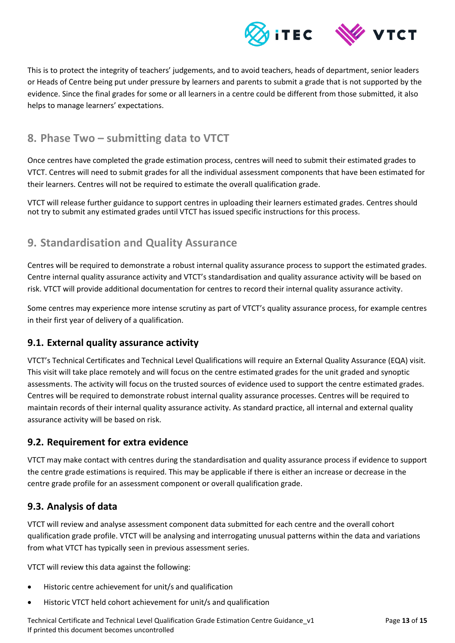

This is to protect the integrity of teachers' judgements, and to avoid teachers, heads of department, senior leaders or Heads of Centre being put under pressure by learners and parents to submit a grade that is not supported by the evidence. Since the final grades for some or all learners in a centre could be different from those submitted, it also helps to manage learners' expectations.

# <span id="page-12-0"></span>**8. Phase Two – submitting data to VTCT**

Once centres have completed the grade estimation process, centres will need to submit their estimated grades to VTCT. Centres will need to submit grades for all the individual assessment components that have been estimated for their learners. Centres will not be required to estimate the overall qualification grade.

<span id="page-12-1"></span>VTCT will release further guidance to support centres in uploading their learners estimated grades. Centres should not try to submit any estimated grades until VTCT has issued specific instructions for this process.

# **9. Standardisation and Quality Assurance**

Centres will be required to demonstrate a robust internal quality assurance process to support the estimated grades. Centre internal quality assurance activity and VTCT's standardisation and quality assurance activity will be based on risk. VTCT will provide additional documentation for centres to record their internal quality assurance activity.

Some centres may experience more intense scrutiny as part of VTCT's quality assurance process, for example centres in their first year of delivery of a qualification.

## <span id="page-12-2"></span>**9.1. External quality assurance activity**

VTCT's Technical Certificates and Technical Level Qualifications will require an External Quality Assurance (EQA) visit. This visit will take place remotely and will focus on the centre estimated grades for the unit graded and synoptic assessments. The activity will focus on the trusted sources of evidence used to support the centre estimated grades. Centres will be required to demonstrate robust internal quality assurance processes. Centres will be required to maintain records of their internal quality assurance activity. As standard practice, all internal and external quality assurance activity will be based on risk.

## <span id="page-12-3"></span>**9.2. Requirement for extra evidence**

VTCT may make contact with centres during the standardisation and quality assurance process if evidence to support the centre grade estimations is required. This may be applicable if there is either an increase or decrease in the centre grade profile for an assessment component or overall qualification grade.

## <span id="page-12-4"></span>**9.3. Analysis of data**

VTCT will review and analyse assessment component data submitted for each centre and the overall cohort qualification grade profile. VTCT will be analysing and interrogating unusual patterns within the data and variations from what VTCT has typically seen in previous assessment series.

VTCT will review this data against the following:

- Historic centre achievement for unit/s and qualification
- Historic VTCT held cohort achievement for unit/s and qualification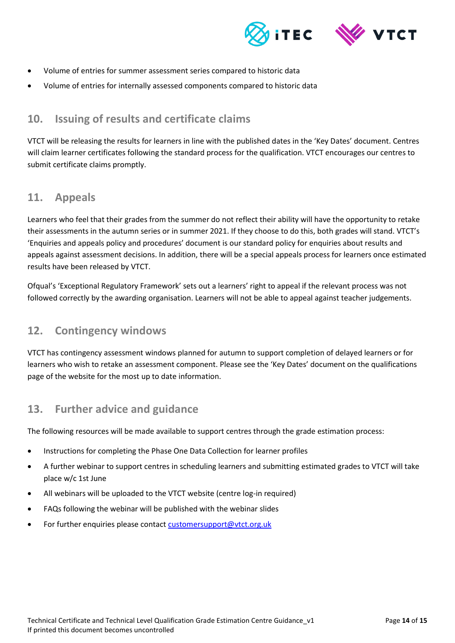



- Volume of entries for summer assessment series compared to historic data
- <span id="page-13-0"></span>Volume of entries for internally assessed components compared to historic data

# **10. Issuing of results and certificate claims**

VTCT will be releasing the results for learners in line with the published dates in the 'Key Dates' document. Centres will claim learner certificates following the standard process for the qualification. VTCT encourages our centres to submit certificate claims promptly.

## <span id="page-13-1"></span>**11. Appeals**

Learners who feel that their grades from the summer do not reflect their ability will have the opportunity to retake their assessments in the autumn series or in summer 2021. If they choose to do this, both grades will stand. VTCT's 'Enquiries and appeals policy and procedures' document is our standard policy for enquiries about results and appeals against assessment decisions. In addition, there will be a special appeals process for learners once estimated results have been released by VTCT.

Ofqual's 'Exceptional Regulatory Framework' sets out a learners' right to appeal if the relevant process was not followed correctly by the awarding organisation. Learners will not be able to appeal against teacher judgements.

## <span id="page-13-2"></span>**12. Contingency windows**

VTCT has contingency assessment windows planned for autumn to support completion of delayed learners or for learners who wish to retake an assessment component. Please see the 'Key Dates' document on the qualifications page of the website for the most up to date information.

## <span id="page-13-3"></span>**13. Further advice and guidance**

The following resources will be made available to support centres through the grade estimation process:

- Instructions for completing the Phase One Data Collection for learner profiles
- A further webinar to support centres in scheduling learners and submitting estimated grades to VTCT will take place w/c 1st June
- All webinars will be uploaded to the VTCT website (centre log-in required)
- FAQs following the webinar will be published with the webinar slides
- For further enquiries please contact [customersupport@vtct.org.uk](mailto:customersupport@vtct.org.uk)